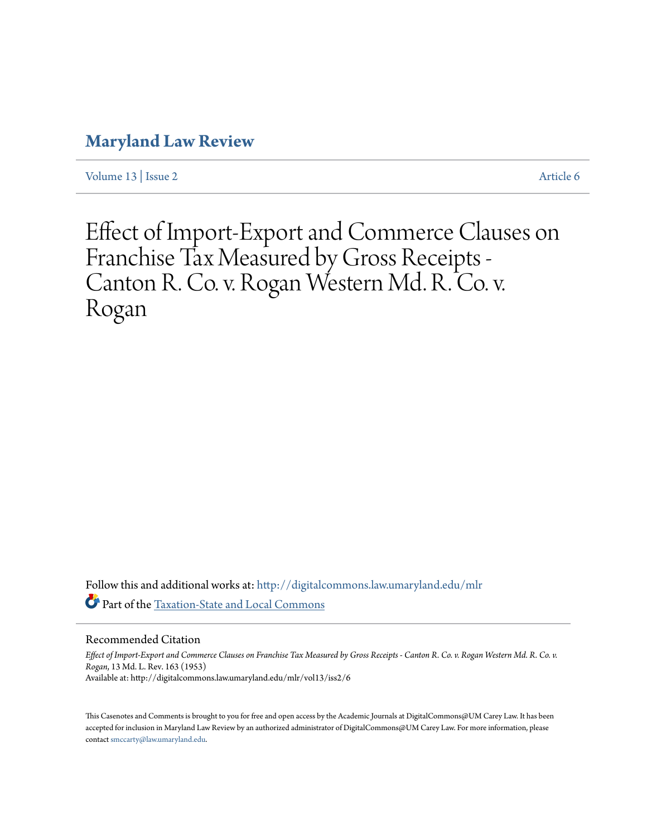## **[Maryland Law Review](http://digitalcommons.law.umaryland.edu/mlr?utm_source=digitalcommons.law.umaryland.edu%2Fmlr%2Fvol13%2Fiss2%2F6&utm_medium=PDF&utm_campaign=PDFCoverPages)**

[Volume 13](http://digitalcommons.law.umaryland.edu/mlr/vol13?utm_source=digitalcommons.law.umaryland.edu%2Fmlr%2Fvol13%2Fiss2%2F6&utm_medium=PDF&utm_campaign=PDFCoverPages) | [Issue 2](http://digitalcommons.law.umaryland.edu/mlr/vol13/iss2?utm_source=digitalcommons.law.umaryland.edu%2Fmlr%2Fvol13%2Fiss2%2F6&utm_medium=PDF&utm_campaign=PDFCoverPages) [Article 6](http://digitalcommons.law.umaryland.edu/mlr/vol13/iss2/6?utm_source=digitalcommons.law.umaryland.edu%2Fmlr%2Fvol13%2Fiss2%2F6&utm_medium=PDF&utm_campaign=PDFCoverPages)

Effect of Import-Export and Commerce Clauses on Franchise Tax Measured by Gross Receipts - Canton R. Co. v. Rogan Western Md. R. Co. v. Rogan

Follow this and additional works at: [http://digitalcommons.law.umaryland.edu/mlr](http://digitalcommons.law.umaryland.edu/mlr?utm_source=digitalcommons.law.umaryland.edu%2Fmlr%2Fvol13%2Fiss2%2F6&utm_medium=PDF&utm_campaign=PDFCoverPages) Part of the [Taxation-State and Local Commons](http://network.bepress.com/hgg/discipline/882?utm_source=digitalcommons.law.umaryland.edu%2Fmlr%2Fvol13%2Fiss2%2F6&utm_medium=PDF&utm_campaign=PDFCoverPages)

Recommended Citation

*Effect of Import-Export and Commerce Clauses on Franchise Tax Measured by Gross Receipts - Canton R. Co. v. Rogan Western Md. R. Co. v. Rogan*, 13 Md. L. Rev. 163 (1953) Available at: http://digitalcommons.law.umaryland.edu/mlr/vol13/iss2/6

This Casenotes and Comments is brought to you for free and open access by the Academic Journals at DigitalCommons@UM Carey Law. It has been accepted for inclusion in Maryland Law Review by an authorized administrator of DigitalCommons@UM Carey Law. For more information, please contact [smccarty@law.umaryland.edu.](mailto:smccarty@law.umaryland.edu)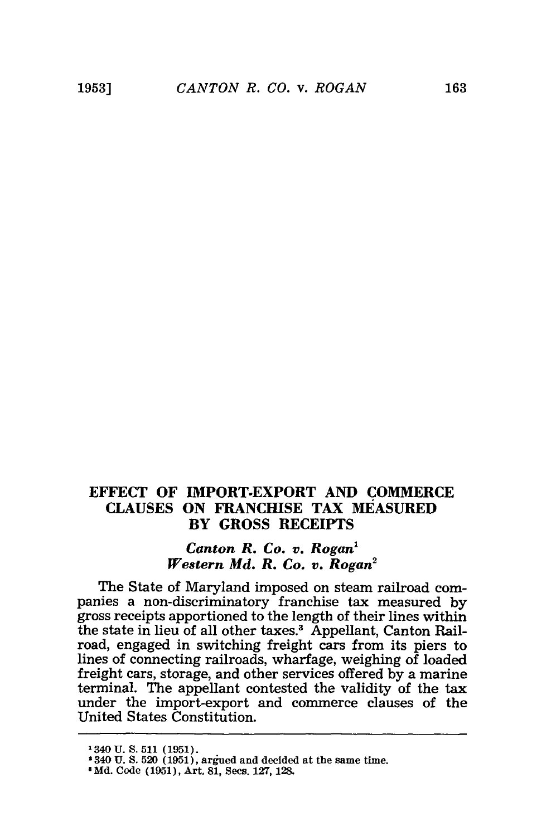## **EFFECT OF IMPORT-EXPORT AND COMMERCE CLAUSES ON FRANCHISE TAX MEASURED BY GROSS RECEIPTS**

## *Canton R. Co. v. Rogan1 Western Md. R. Co. v. Rogan2*

The State of Maryland imposed on steam railroad companies a non-discriminatory franchise tax measured **by** gross receipts apportioned to the length of their lines within the state in lieu of all other taxes.<sup>3</sup> Appellant, Canton Railroad, engaged in switching freight cars from its piers to lines of connecting railroads, wharfage, weighing of loaded freight cars, storage, and other services offered **by** a marine terminal. The appellant contested the validity of the tax under the import-export and commerce clauses of the United States Constitution.

**<sup>1340</sup> U. S. 511 (1951).**

**<sup>&#</sup>x27;340 U. S. 520 (1951), argued and decided at the same time.**

**<sup>8</sup> Md. Code (1951), Art. 81, Secs. 127, 128.**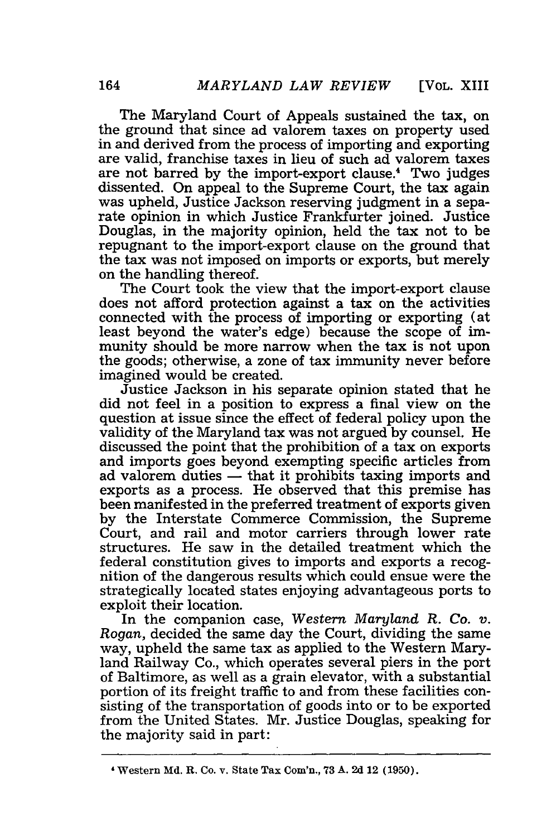The Maryland Court of Appeals sustained the tax, on the ground that since ad valorem taxes on property used in and derived from the process of importing and exporting are valid, franchise taxes in lieu of such ad valorem taxes are not barred by the import-export clause.' Two judges dissented. On appeal to the Supreme Court, the tax again was upheld, Justice Jackson reserving judgment in a separate opinion in which Justice Frankfurter joined. Justice Douglas, in the majority opinion, held the tax not to be repugnant to the import-export clause on the ground that the tax was not imposed on imports or exports, but merely on the handling thereof.

The Court took the view that the import-export clause does not afford protection against a tax on the activities connected with the process of importing or exporting (at least beyond the water's edge) because the scope of immunity should be more narrow when the tax is not upon the goods; otherwise, a zone of tax immunity never before imagined would be created.

Justice Jackson in his separate opinion stated that he did not feel in a position to express a final view on the question at issue since the effect of federal policy upon the validity of the Maryland tax was not argued by counsel. He discussed the point that the prohibition of a tax on exports and imports goes beyond exempting specific articles from ad valorem duties **-** that it prohibits taxing imports and exports as a process. He observed that this premise has been manifested in the preferred treatment of exports given by the Interstate Commerce Commission, the Supreme Court, and rail and motor carriers through lower rate structures. He saw in the detailed treatment which the federal constitution gives to imports and exports a recognition of the dangerous results which could ensue were the strategically located states enjoying advantageous ports to exploit their location.

In the companion case, Western *Maryland* R. *Co. v. Rogan,* decided the same day the Court, dividing the same way, upheld the same tax as applied to the Western Maryland Railway Co., which operates several piers in the port of Baltimore, as well as a grain elevator, with a substantial portion of its freight traffic to and from these facilities consisting of the transportation of goods into or to be exported from the United States. Mr. Justice Douglas, speaking for the majority said in part:

**<sup>1</sup>** Western *Md.* R. Co. v. State Tax Com'n., 73 **A.** 2d 12 (1950).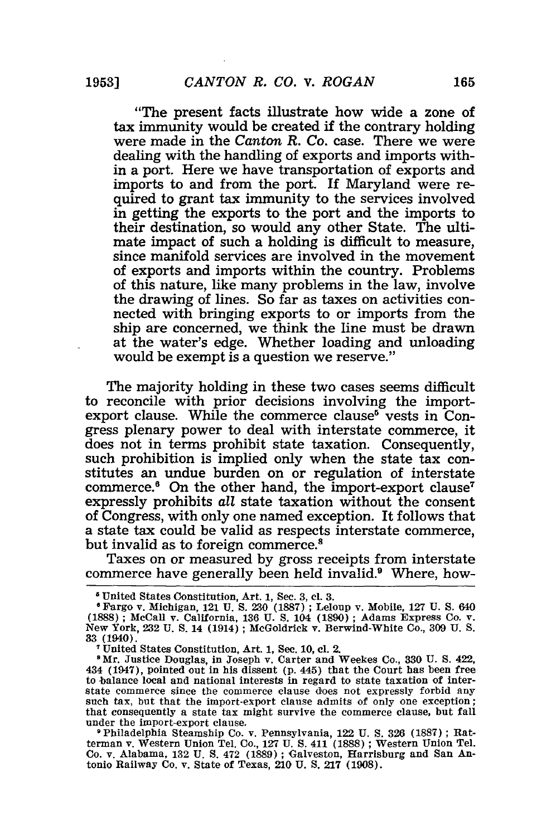"The present facts illustrate how wide a zone of tax immunity would be created if the contrary holding were made in the *Canton R. Co.* case. There we were dealing with the handling of exports and imports within a port. Here we have transportation of exports and imports to and from the port. If Maryland were required to grant tax immunity to the services involved in getting the exports to the port and the imports to their destination, so would any other State. The ultimate impact of such a holding is difficult to measure, since manifold services are involved in the movement of exports and imports within the country. Problems of this nature, like many problems in the law, involve the drawing of lines. So far as taxes on activities connected with bringing exports to or imports from the ship are concerned, we think the line must be drawn at the water's edge. Whether loading and unloading would be exempt is a question we reserve."

The majority holding in these two cases seems difficult to reconcile with prior decisions involving the importexport clause. While the commerce clause<sup>5</sup> vests in Congress plenary power to deal with interstate commerce, it does not in terms prohibit state taxation. Consequently, such prohibition is implied only when the state tax constitutes an undue burden on or regulation of interstate commerce.<sup>6</sup> On the other hand, the import-export clause<sup>7</sup> expressly prohibits *all* state taxation without the consent of Congress, with only one named exception. It follows that a state tax could be valid as respects interstate commerce, but invalid as to foreign commerce.<sup>8</sup>

Taxes on or measured by gross receipts from interstate commerce have generally been held invalid.9 Where, how-

**<sup>5</sup>** United States Constitution, Art. 1, Sec. 3, **cl. 3.**

**<sup>6</sup>** Fargo v. Michigan, 121 U. S. **230** (1887) **;** Leloup v. Mobile, **127** U. S. 640 (1888) ; McCall v. California, **136** U. S. 104 (1890) ; Adams Express Co. v. New York, 232 U. **S.** 14 (1914) ; McGoldrick v. Berwind-White Co., 309 U. S. **33** (1940).

United States Constitution, Art. 1, Sec. 10, **cl.** 2.

**<sup>8</sup>** Mr. Justice Douglas, in Joseph v. Carter and Weekes Co., **330** U. S. 422, 434 (1947), pointed out in his dissent (p. 445) that the Court has been free to balance local and national interests in regard to state taxation of interstate commerce since the commerce clause does not expressly forbid any such tax, but that the import-export clause admits of only one exception; that consequently a state tax might survive the commerce clause, but fall under the import-export clause.

**<sup>9</sup>** Philadelphia Steamship Co. v. Pennsylvania, 122 U. **S. 326** (1887) ; Ratterman v. Western Union Tel. Co., 127 U. **S.** 411 **(1888)** ; Western Union Tel. Co. v. Alabama, 132 U. **S.** 472 (1889) ; Galveston, Harrisburg and San Antonio Railway Co. v. State of Texas, 210 U. S. 217 (1908).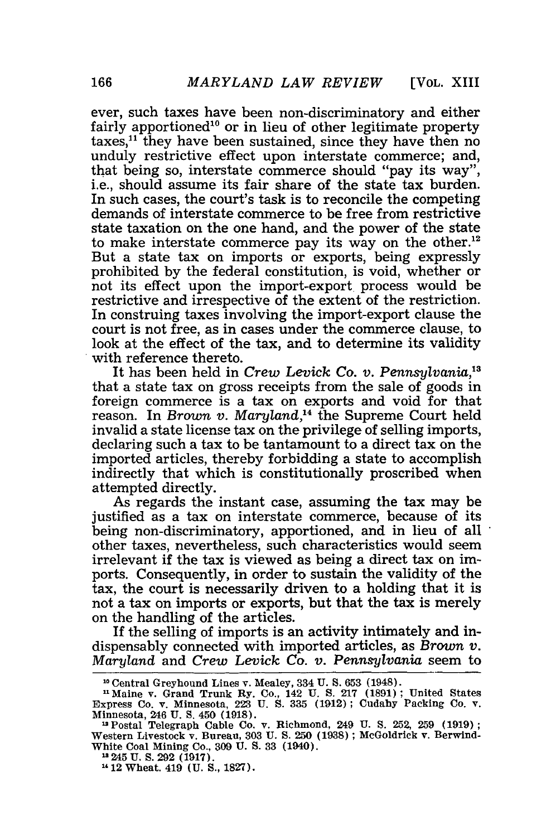ever, such taxes have been non-discriminatory and either fairly apportioned<sup>10</sup> or in lieu of other legitimate property taxes,<sup>11</sup> they have been sustained, since they have then no unduly restrictive effect upon interstate commerce; and, that being so, interstate commerce should "pay its way", i.e., should assume its fair share of the state tax burden. In such cases, the court's task is to reconcile the competing demands of interstate commerce to be free from restrictive state taxation on the one hand, and the power of the state to make interstate commerce pay its way on the other.<sup>12</sup> But a state tax on imports or exports, being expressly prohibited by the federal constitution, is void, whether or not its effect upon the import-export process would be restrictive and irrespective of the extent of the restriction. In construing taxes involving the import-export clause the court is not free, as in cases under the commerce clause, to look at the effect of the tax, and to determine its validity with reference thereto.

It has been held in *Crew Levick Co. v. Pennsylvania,3* that a state tax on gross receipts from the sale of goods in foreign commerce is a tax on exports and void for that reason. In *Brown v. Maryland*,<sup>14</sup> the Supreme Court held invalid a state license tax on the privilege of selling imports, declaring such a tax to be tantamount to a direct tax on the imported articles, thereby forbidding a state to accomplish indirectly that which is constitutionally proscribed when attempted directly.

As regards the instant case, assuming the tax may be justified as a tax on interstate commerce, because of its being non-discriminatory, apportioned, and in lieu of all other taxes, nevertheless, such characteristics would seem irrelevant if the tax is viewed as being a direct tax on imports. Consequently, in order to sustain the validity of the tax, the court is necessarily driven to a holding that it is not a tax on imports or exports, but that the tax is merely on the handling of the articles.

If the selling of imports is an activity intimately and indispensably connected with imported articles, as *Brown v. Maryland* and *Crew Levick Co. v. Pennsylvania* seem to

**<sup>1&</sup>quot;** Central Greyhound Lines v. Mealey, 334 U. **S.** 653 (1948).

<sup>&</sup>quot;Maine v. Grand Trunk **Ry.** Co., 142 U. S. 217 **(1891)** ; United States Express Co. v. Minnesota, 223 U. S. **335 (1912);** Cudahy Packing Co. v. Minnesota, 246 U. S. 450 (1918). "Postal Telegraph Cable Co. v. Richmond, 249 U. S. 252, 259 (1919);

Western Livestock v. Bureau, 303 **U.** S. 250 (1938) ; McGoldrick v. Berwind-White Coal Mining Co., **309** U. S. **33** (1940).

<sup>245</sup> **U. S. 292 (1917).**

<sup>&</sup>lt;sup>14</sup> 12<sup>Wheat.</sup> 419 **(U. S., 1827)**.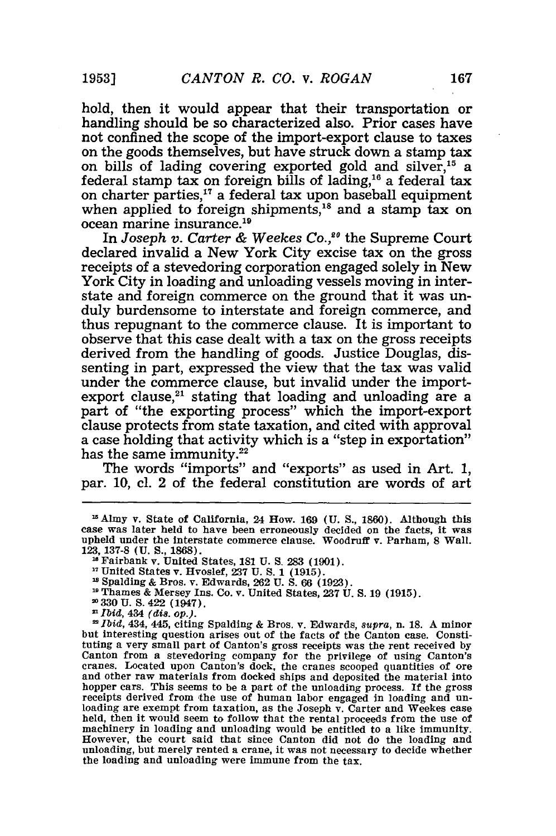hold, then it would appear that their transportation or handling should be so characterized also. Prior cases have not confined the scope of the import-export clause to taxes on the goods themselves, but have struck down a stamp tax on bills of lading covering exported gold and silver,<sup>15</sup> a federal stamp tax on foreign bills of lading, $16$  a federal tax on charter parties,<sup>17</sup> a federal tax upon baseball equipment when applied to foreign shipments,<sup>18</sup> and a stamp tax on ocean marine insurance.<sup>19</sup>

In *Joseph v. Carter & Weekes Co.,"0* the Supreme Court declared invalid a New York City excise tax on the gross receipts of a stevedoring corporation engaged solely in New York City in loading and unloading vessels moving in interstate and foreign commerce on the ground that it was unduly burdensome to interstate and foreign commerce, and thus repugnant to the commerce clause. It is important to observe that this case dealt with a tax on the gross receipts derived from the handling of goods. Justice Douglas, **dis**senting in part, expressed the view that the tax was valid under the commerce clause, but invalid under the importexport clause, $21$  stating that loading and unloading are a part of "the exporting process" which the import-export clause protects from state taxation, and cited with approval a case holding that activity which is a "step in exportation" has the same immunity.<sup>22</sup>

The words "imports" and "exports" as used in Art. **1,** par. **10,** cl. 2 of the federal constitution are words of art

- **330 U. S.** 422 (1947).
- *Ibid,* 434 *(dis. op.).*

*Ibid,* 434, 445, citing Spalding **&** Bros. v. Edwards, *supra,* n. **18. A** minor but interesting question arises **out of** the facts of the Canton case. Constituting a very small part of Canton's gross receipts was the rent received **by** Canton from a stevedoring company for the privilege of using Canton's cranes. Located upon Canton's dock, the cranes scooped quantities of ore and other raw materials from docked ships and deposited the material into hopper cars. This seems to be a part of the unloading process. **If** the gross receipts derived from the use of human labor engaged in loading and un- loading are exempt from taxation, as the Joseph v. Carter and Weekes case held, then it would seem to follow that the rental proceeds from the use of machinery in loading and unloading would be entitled to a like immunity. However, the court said that since Canton **did** not do the loading and unloading, but merely rented a crane, it was not necessary to decide whether the loading and unloading were immune from the tax.

<sup>&</sup>lt;sup>15</sup> Almy v. State of California, 24 How. 169 (U. S., 1860). Although this case was later held to have been erroneously decided on the facts, it was upheld under the interstate commerce clause. Woodruff v. Parham, 8 Wall. **123, 137-8 (U. S., 1868).** Fairbank v. United States, **181 U. S. 283 (1901).**

**<sup>17</sup>**United States v. Hvoslef, **237 U. S. 1 (1915).**

Spalding **&** Bros. v. Edwards, **262 U. S. 66 (1923).**

**Thames &** Mersey Ins. Co. v. United States, **237 U. S. 19 (1915).**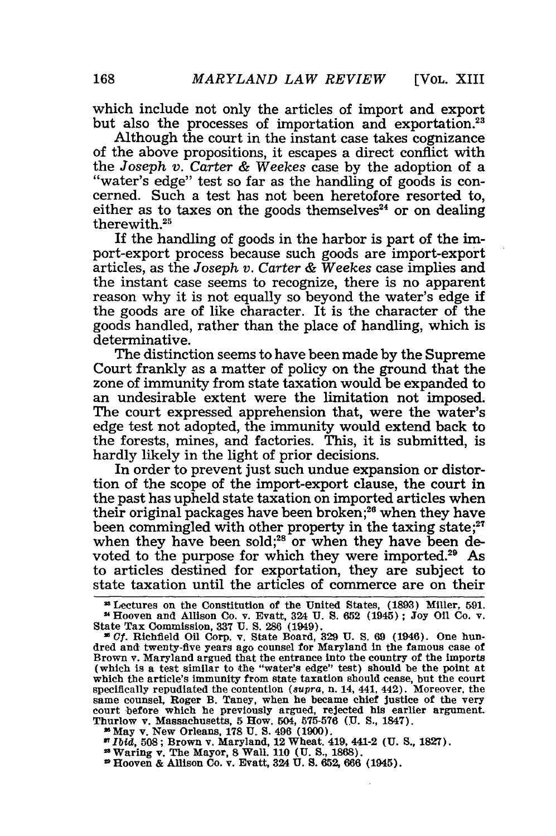which include not only the articles of import and export but also the processes of importation and exportation.<sup>23</sup>

Although the court in the instant case takes cognizance of the above propositions, it escapes a direct conflict with the Joseph v. Carter & Weekes case by the adoption of a "water's edge" test so far as the handling of goods is concerned. Such a test has not been heretofore resorted to, either as to taxes on the goods themselves<sup>24</sup> or on dealing therewith.25

**If** the handling of goods in the harbor is part of the import-export process because such goods are import-export articles, as the *Joseph v. Carter &* Weekes case implies and the instant case seems to recognize, there is no apparent reason why it is not equally so beyond the water's edge if the goods are of like character. It is the character of the goods handled, rather than the place of handling, which is determinative.

The distinction seems to have been made by the Supreme Court frankly as a matter of policy on the ground that the zone of immunity from state taxation would be expanded to an undesirable extent were the limitation not imposed. The court expressed apprehension that, were the water's edge test not adopted, the immunity would extend back to the forests, mines, and factories. This, it is submitted, is hardly likely in the light of prior decisions.

In order to prevent just such undue expansion or distortion of the scope of the import-export clause, the court in the past has upheld state taxation on imported articles when their original packages have been broken;<sup>26</sup> when they have their original packages have been broken, when they have<br>been commingled with other property in the taxing state;<sup>27</sup> when they have been sold;<sup>28</sup> or when they have been devoted to the purpose for which they were imported.<sup>29</sup> As to articles destined for exportation, they are subject to state taxation until the articles of commerce are on their

.May v. New Orleans, **178 U. S.** 496 **(1900).**

*MIbid,* 508; Brown v. Maryland, 12 Wheat. 419, 441-2 **(U. S.,** 1827). **10** Waring v. The Mayor, 8 Wal. **110 (U. S.,** 1868).

Hooven & Allison **Co.** v. Evatt, 324 U. **S.** 652, **666** (1945).

Lectures on the Constitution of the United States, **(1893)** Miller, **591.** Hooven and Allison Co. v. Evatt, 324 **U. S.** 652 (1945) ; **Joy** Oil Co. v. State Tax Commission, **337 U. S.** 286 (1949).

**<sup>2</sup>C.** Richfield Oil Corp. v. State Board, **329 U. S. 69** (1946). One hundred and twenty-five years ago counsel for Maryland in the famous case of Brown v. Maryland argued that the entrance into the country of the imports (which is a test similar to the "water's edge" test) should be the point at which the article's immunity from state taxation should cease, but the court specifically repudiated the contention *(supra,* n. 14, 441, 442). Moreover, the same counsel, Roger B. Taney, when he became chief justice of the very court before which he previously argued, rejected his earlier argument Thurlow v. Massachusetts, 5 How. 504, **575-576 (U. S.,** 1847).